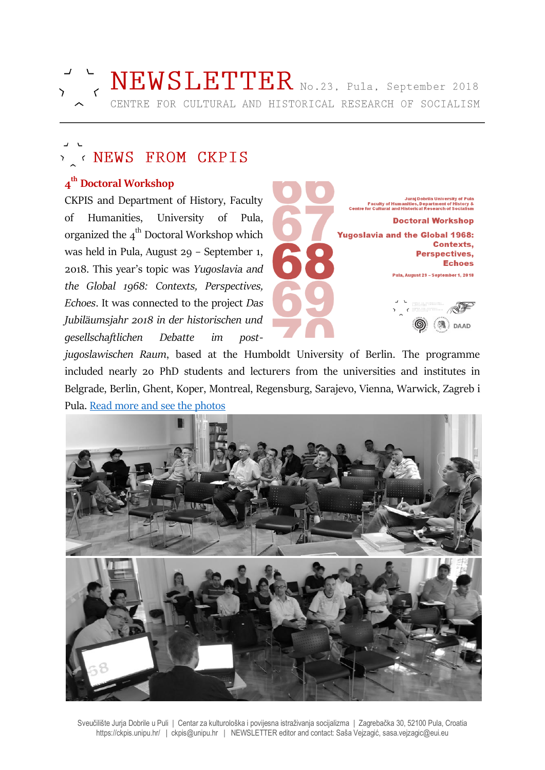

# Y < NEWS FROM CKPIS

# **4 th Doctoral Workshop**

CKPIS and Department of History, Faculty of Humanities, University of Pula, organized the  $4^{\text{th}}$  Doctoral Workshop which was held in Pula, August 29 – September 1, 2018. This year's topic was *Yugoslavia and the Global 1968: Contexts, Perspectives, Echoes*. It was connected to the project *Das Jubiläumsjahr 2018 in der historischen und gesellschaftlichen Debatte im post-*



*jugoslawischen Raum*, based at the Humboldt University of Berlin. The programme included nearly 20 PhD students and lecturers from the universities and institutes in Belgrade, Berlin, Ghent, Koper, Montreal, Regensburg, Sarajevo, Vienna, Warwick, Zagreb i Pula. [Read more and see the photos](https://ckpis.unipu.hr/ckpis/en/doctoral_workshop/2018)



Sveučilište Jurja Dobrile u Puli | Centar za kulturološka i povijesna istraživanja socijalizma | Zagrebačka 30, 52100 Pula, Croatia https://ckpis.unipu.hr/ | ckpis@unipu.hr | NEWSLETTER editor and contact: Saša Vejzagić, sasa.vejzagic@eui.eu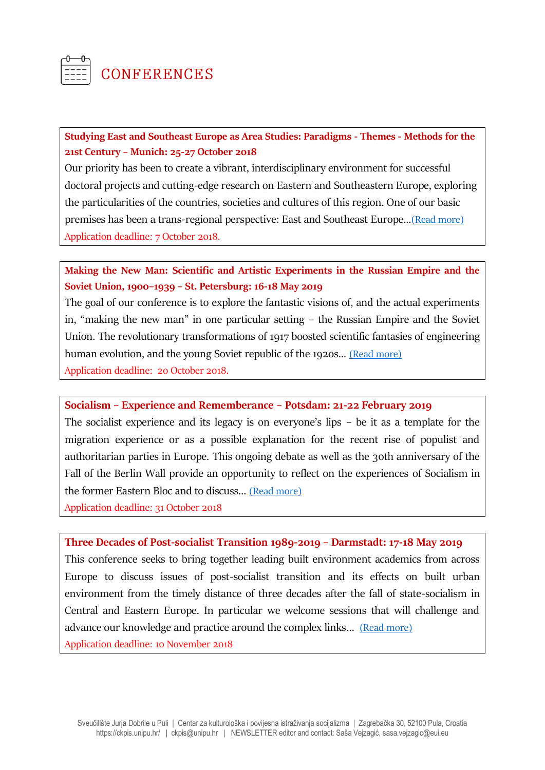

# **CONFERENCES**

### **Studying East and Southeast Europe as Area Studies: Paradigms - Themes - Methods for the 21st Century – Munich: 25-27 October 2018**

Our priority has been to create a vibrant, interdisciplinary environment for successful doctoral projects and cutting-edge research on Eastern and Southeastern Europe, exploring the particularities of the countries, societies and cultures of this region. One of our basic premises has been a trans-regional perspective: East and Southeast Europe...[\(Read more\)](http://www.gs-oses.de/event-detail/events/jahrestagung-2018.html) Application deadline: 7 October 2018.

### **Making the New Man: Scientific and Artistic Experiments in the Russian Empire and the Soviet Union, 1900–1939 – St. Petersburg: 16-18 May 2019**

The goal of our conference is to explore the fantastic visions of, and the actual experiments in, "making the new man" in one particular setting – the Russian Empire and the Soviet Union. The revolutionary transformations of 1917 boosted scientific fantasies of engineering human evolution, and the young Soviet republic of the 1920s... [\(Read more\)](https://www.univie.ac.at/Geschichte/salon21/?p=35227) Application deadline: 20 October 2018.

### **Socialism – Experience and Rememberance – Potsdam: 21-22 February 2019**

The socialist experience and its legacy is on everyone's lips – be it as a template for the migration experience or as a possible explanation for the recent rise of populist and authoritarian parties in Europe. This ongoing debate as well as the 30th anniversary of the Fall of the Berlin Wall provide an opportunity to reflect on the experiences of Socialism in the former Eastern Bloc and to discuss… [\(Read more\)](http://zzf-potsdam.de/sites/default/files/doktoranden/Archiv_Forum/call_dokforum_2019_zzf_potsdam_final_eng.pdf)

Application deadline: 31 October 2018

**Three Decades of Post-socialist Transition 1989-2019 – Darmstadt: 17-18 May 2019** This conference seeks to bring together leading built environment academics from across Europe to discuss issues of post-socialist transition and its effects on built urban environment from the timely distance of three decades after the fall of state-socialism in Central and Eastern Europe. In particular we welcome sessions that will challenge and advance our knowledge and practice around the complex links... [\(Read more\)](https://urbanmorphosis.wixsite.com/urbanlab/news-1/international-conference-three-decades-of-post-socialist-transition-1989-2019) Application deadline: 10 November 2018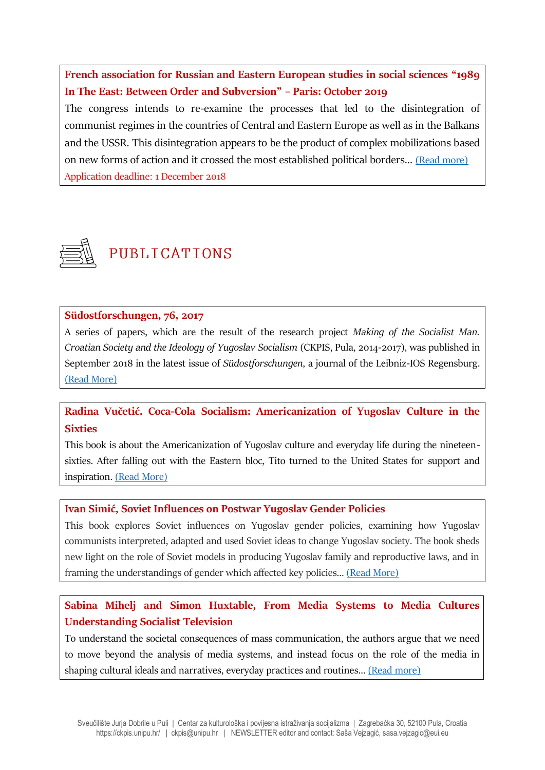**French association for Russian and Eastern European studies in social sciences "1989 In The East: Between Order and Subversion" – Paris: October 2019**

The congress intends to re-examine the processes that led to the disintegration of communist regimes in the countries of Central and Eastern Europe as well as in the Balkans and the USSR. This disintegration appears to be the product of complex mobilizations based on new forms of action and it crossed the most established political borders… [\(Read more\)](http://uamoderna.com/conference/between-order-and-subversion) Application deadline: 1 December 2018



# PUBLICATIONS

### **Südostforschungen, 76, 2017**

A series of papers, which are the result of the research project *Making of the Socialist Man. Croatian Society and the Ideology of Yugoslav Socialism* (CKPIS, Pula, 2014-2017), was published in September 2018 in the latest issue of *Südostforschungen*, a journal of the Leibniz-IOS Regensburg. [\(Read More\)](https://www.ios-regensburg.de/en/ios-publications/journals/southeastern-research.html)

## **Radina Vučetić. Coca-Cola Socialism: Americanization of Yugoslav Culture in the Sixties**

This book is about the Americanization of Yugoslav culture and everyday life during the nineteensixties. After falling out with the Eastern bloc, Tito turned to the United States for support and inspiration. [\(Read More\)](http://ceupress.com/contributor/radina-vucetic)

### **Ivan Simić, Soviet Influences on Postwar Yugoslav Gender Policies**

This book explores Soviet influences on Yugoslav gender policies, examining how Yugoslav communists interpreted, adapted and used Soviet ideas to change Yugoslav society. The book sheds new light on the role of Soviet models in producing Yugoslav family and reproductive laws, and in framing the understandings of gender which affected key policies… [\(Read More\)](https://www.palgrave.com/gp/book/9783319943817#otherversion=9783319943824)

# **Sabina Mihelj and Simon Huxtable, From Media Systems to Media Cultures Understanding Socialist Television**

To understand the societal consequences of mass communication, the authors argue that we need to move beyond the analysis of media systems, and instead focus on the role of the media in shaping cultural ideals and narratives, everyday practices and routines… [\(Read more\)](https://www.cambridge.org/core/books/from-media-systems-to-media-cultures/C2738F906D87AA7FACC0D4CC7CD410C7#fndtn-information)